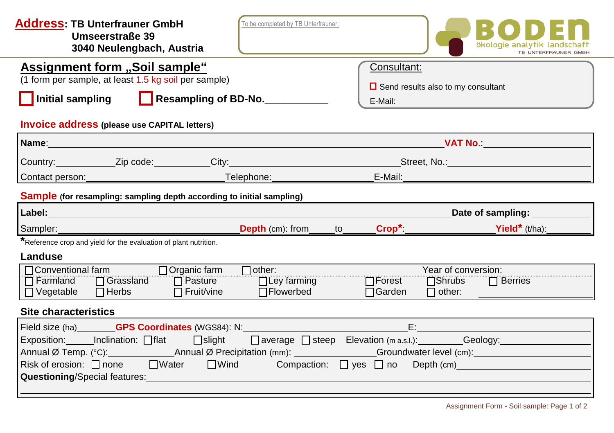| <b>Address: TB Unterfrauner GmbH</b><br>Umseerstraße 39<br>3040 Neulengbach, Austria                                                                        | To be completed by TB Unterfrauner: |                        |                                                                     | ökologie analytik landsc<br><b>TB UNTERFRAUNER</b>                                                                                                                                                                                  |
|-------------------------------------------------------------------------------------------------------------------------------------------------------------|-------------------------------------|------------------------|---------------------------------------------------------------------|-------------------------------------------------------------------------------------------------------------------------------------------------------------------------------------------------------------------------------------|
| Assignment form "Soil sample"<br>(1 form per sample, at least 1.5 kg soil per sample)<br><b>Initial sampling</b>                                            | Resampling of BD-No.                | Consultant:<br>E-Mail: | $\Box$ Send results also to my consultant                           |                                                                                                                                                                                                                                     |
| <b>Invoice address (please use CAPITAL letters)</b>                                                                                                         |                                     |                        |                                                                     |                                                                                                                                                                                                                                     |
| Name: William School and Communication of the Communication of the Communication of the Communication                                                       |                                     |                        |                                                                     | <b>Experiment MAT No.:</b> And Material Service of the Service of the Service of the Service of the Service of the Service of the Service of the Service of the Service of the Service of the Service of the Service of the Service |
| Country:______________Zip code:___________City:__________________________________Street, No.:_________________                                              |                                     |                        |                                                                     |                                                                                                                                                                                                                                     |
| Contact person: Telephone: Telephone:                                                                                                                       |                                     | E-Mail:                |                                                                     |                                                                                                                                                                                                                                     |
| <b>Sample</b> (for resampling: sampling depth according to initial sampling)                                                                                |                                     |                        |                                                                     |                                                                                                                                                                                                                                     |
|                                                                                                                                                             |                                     |                        |                                                                     |                                                                                                                                                                                                                                     |
|                                                                                                                                                             |                                     |                        |                                                                     | Date of sampling: __________                                                                                                                                                                                                        |
| Sampler:                                                                                                                                                    |                                     |                        |                                                                     | Yield* $(t/ha)$ :                                                                                                                                                                                                                   |
| <b>Depth</b> (cm): from to <b>Crop</b> *:<br>Reference crop and yield for the evaluation of plant nutrition.                                                |                                     |                        |                                                                     |                                                                                                                                                                                                                                     |
| Landuse<br>Conventional farm <b>Dorganic farm</b><br>□ Farmland □ Grassland □ Pasture □ □ Ley farming<br>$\Box$ Herbs<br>$\Box$ Vegetable<br>■ □ Fruit/vine | $\Box$ other:<br>$\Box$ Flowerbed   | $\Box$ Garden          | Year of conversion:<br>□ Forest □ Shrubs □ Berries<br>$\Box$ other: |                                                                                                                                                                                                                                     |
| <b>Site characteristics</b>                                                                                                                                 |                                     |                        |                                                                     |                                                                                                                                                                                                                                     |